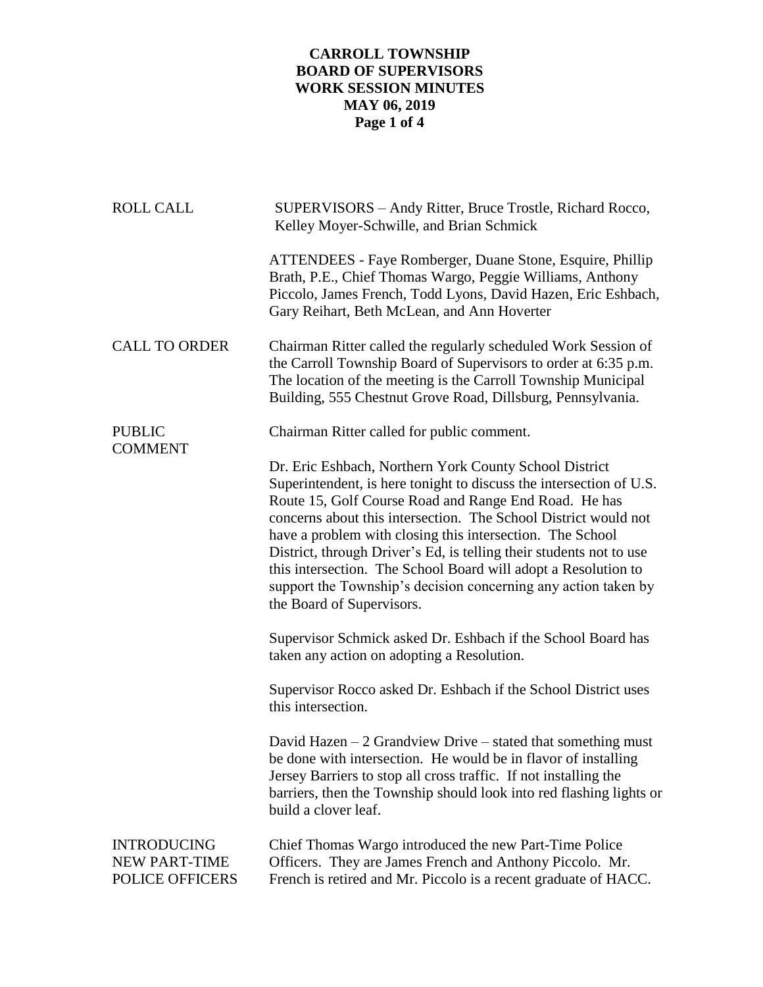## **CARROLL TOWNSHIP BOARD OF SUPERVISORS WORK SESSION MINUTES MAY 06, 2019 Page 1 of 4**

| <b>ROLL CALL</b>                                              | SUPERVISORS - Andy Ritter, Bruce Trostle, Richard Rocco,<br>Kelley Moyer-Schwille, and Brian Schmick                                                                                                                                                                                                                                                                                                                                                                                                                                                           |
|---------------------------------------------------------------|----------------------------------------------------------------------------------------------------------------------------------------------------------------------------------------------------------------------------------------------------------------------------------------------------------------------------------------------------------------------------------------------------------------------------------------------------------------------------------------------------------------------------------------------------------------|
|                                                               | ATTENDEES - Faye Romberger, Duane Stone, Esquire, Phillip<br>Brath, P.E., Chief Thomas Wargo, Peggie Williams, Anthony<br>Piccolo, James French, Todd Lyons, David Hazen, Eric Eshbach,<br>Gary Reihart, Beth McLean, and Ann Hoverter                                                                                                                                                                                                                                                                                                                         |
| <b>CALL TO ORDER</b>                                          | Chairman Ritter called the regularly scheduled Work Session of<br>the Carroll Township Board of Supervisors to order at 6:35 p.m.<br>The location of the meeting is the Carroll Township Municipal<br>Building, 555 Chestnut Grove Road, Dillsburg, Pennsylvania.                                                                                                                                                                                                                                                                                              |
| <b>PUBLIC</b><br><b>COMMENT</b>                               | Chairman Ritter called for public comment.                                                                                                                                                                                                                                                                                                                                                                                                                                                                                                                     |
|                                                               | Dr. Eric Eshbach, Northern York County School District<br>Superintendent, is here tonight to discuss the intersection of U.S.<br>Route 15, Golf Course Road and Range End Road. He has<br>concerns about this intersection. The School District would not<br>have a problem with closing this intersection. The School<br>District, through Driver's Ed, is telling their students not to use<br>this intersection. The School Board will adopt a Resolution to<br>support the Township's decision concerning any action taken by<br>the Board of Supervisors. |
|                                                               | Supervisor Schmick asked Dr. Eshbach if the School Board has<br>taken any action on adopting a Resolution.                                                                                                                                                                                                                                                                                                                                                                                                                                                     |
|                                                               | Supervisor Rocco asked Dr. Eshbach if the School District uses<br>this intersection.                                                                                                                                                                                                                                                                                                                                                                                                                                                                           |
|                                                               | David Hazen $-2$ Grandview Drive $-$ stated that something must<br>be done with intersection. He would be in flavor of installing<br>Jersey Barriers to stop all cross traffic. If not installing the<br>barriers, then the Township should look into red flashing lights or<br>build a clover leaf.                                                                                                                                                                                                                                                           |
| <b>INTRODUCING</b><br><b>NEW PART-TIME</b><br>POLICE OFFICERS | Chief Thomas Wargo introduced the new Part-Time Police<br>Officers. They are James French and Anthony Piccolo. Mr.<br>French is retired and Mr. Piccolo is a recent graduate of HACC.                                                                                                                                                                                                                                                                                                                                                                          |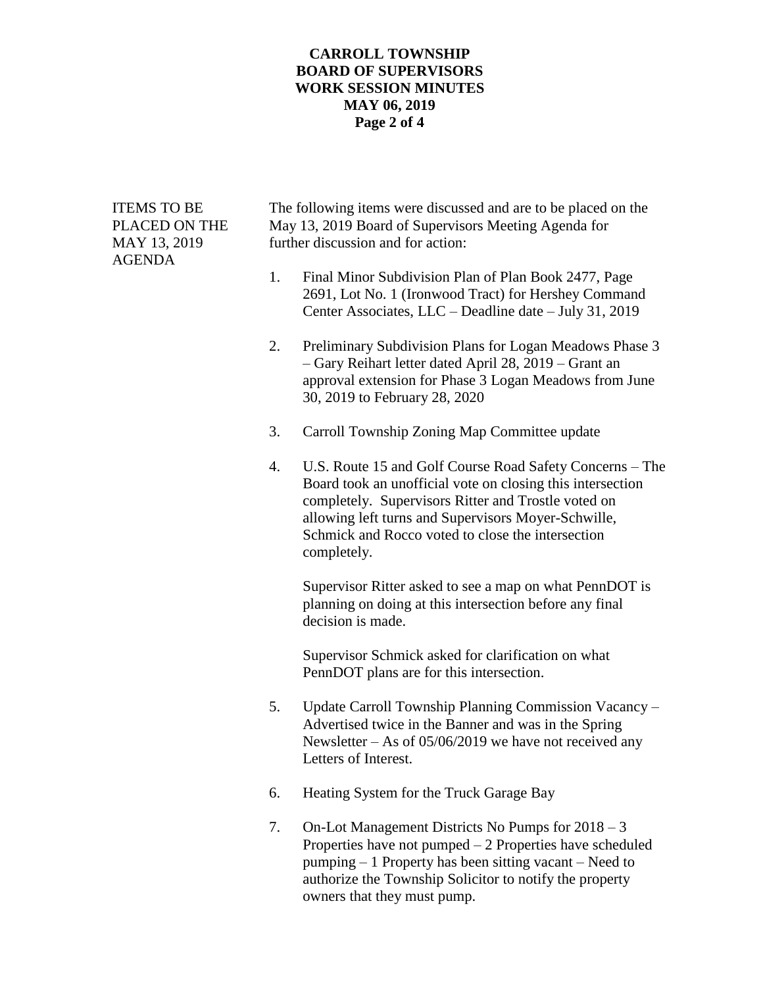## **CARROLL TOWNSHIP BOARD OF SUPERVISORS WORK SESSION MINUTES MAY 06, 2019 Page 2 of 4**

AGENDA

ITEMS TO BE The following items were discussed and are to be placed on the PLACED ON THE May 13, 2019 Board of Supervisors Meeting Agenda for MAY 13, 2019 further discussion and for action:

- 1. Final Minor Subdivision Plan of Plan Book 2477, Page 2691, Lot No. 1 (Ironwood Tract) for Hershey Command Center Associates, LLC – Deadline date – July 31, 2019
- 2. Preliminary Subdivision Plans for Logan Meadows Phase 3 – Gary Reihart letter dated April 28, 2019 – Grant an approval extension for Phase 3 Logan Meadows from June 30, 2019 to February 28, 2020
- 3. Carroll Township Zoning Map Committee update
- 4. U.S. Route 15 and Golf Course Road Safety Concerns The Board took an unofficial vote on closing this intersection completely. Supervisors Ritter and Trostle voted on allowing left turns and Supervisors Moyer-Schwille, Schmick and Rocco voted to close the intersection completely.

Supervisor Ritter asked to see a map on what PennDOT is planning on doing at this intersection before any final decision is made.

Supervisor Schmick asked for clarification on what PennDOT plans are for this intersection.

- 5. Update Carroll Township Planning Commission Vacancy Advertised twice in the Banner and was in the Spring Newsletter – As of 05/06/2019 we have not received any Letters of Interest.
- 6. Heating System for the Truck Garage Bay
- 7. On-Lot Management Districts No Pumps for 2018 3 Properties have not pumped – 2 Properties have scheduled pumping – 1 Property has been sitting vacant – Need to authorize the Township Solicitor to notify the property owners that they must pump.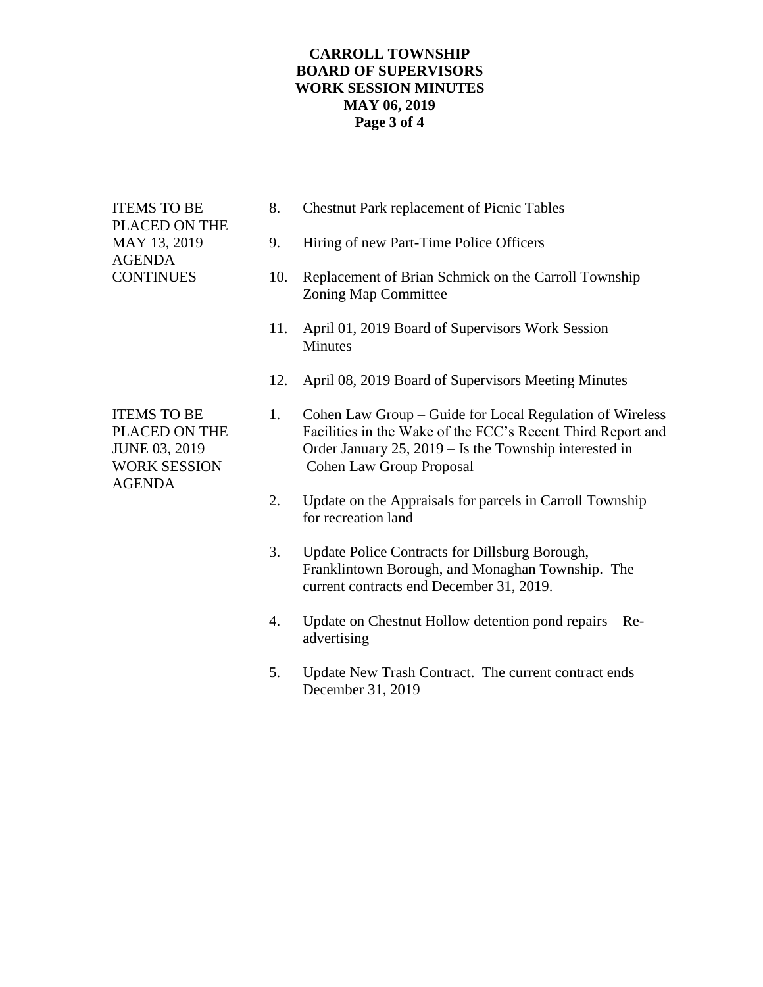## **CARROLL TOWNSHIP BOARD OF SUPERVISORS WORK SESSION MINUTES MAY 06, 2019 Page 3 of 4**

| <b>ITEMS TO BE</b><br>PLACED ON THE<br>MAY 13, 2019<br><b>AGENDA</b><br><b>CONTINUES</b>     | 8.  | <b>Chestnut Park replacement of Picnic Tables</b>                                                                                                                                                                    |
|----------------------------------------------------------------------------------------------|-----|----------------------------------------------------------------------------------------------------------------------------------------------------------------------------------------------------------------------|
|                                                                                              | 9.  | Hiring of new Part-Time Police Officers                                                                                                                                                                              |
|                                                                                              | 10. | Replacement of Brian Schmick on the Carroll Township<br>Zoning Map Committee                                                                                                                                         |
|                                                                                              | 11. | April 01, 2019 Board of Supervisors Work Session<br><b>Minutes</b>                                                                                                                                                   |
|                                                                                              | 12. | April 08, 2019 Board of Supervisors Meeting Minutes                                                                                                                                                                  |
| <b>ITEMS TO BE</b><br>PLACED ON THE<br>JUNE 03, 2019<br><b>WORK SESSION</b><br><b>AGENDA</b> | 1.  | Cohen Law Group - Guide for Local Regulation of Wireless<br>Facilities in the Wake of the FCC's Recent Third Report and<br>Order January 25, 2019 - Is the Township interested in<br><b>Cohen Law Group Proposal</b> |
|                                                                                              | 2.  | Update on the Appraisals for parcels in Carroll Township<br>for recreation land                                                                                                                                      |
|                                                                                              | 3.  | Update Police Contracts for Dillsburg Borough,<br>Franklintown Borough, and Monaghan Township. The<br>current contracts end December 31, 2019.                                                                       |
|                                                                                              | 4.  | Update on Chestnut Hollow detention pond repairs – Re-<br>advertising                                                                                                                                                |
|                                                                                              | 5.  | Update New Trash Contract. The current contract ends<br>December 31, 2019                                                                                                                                            |